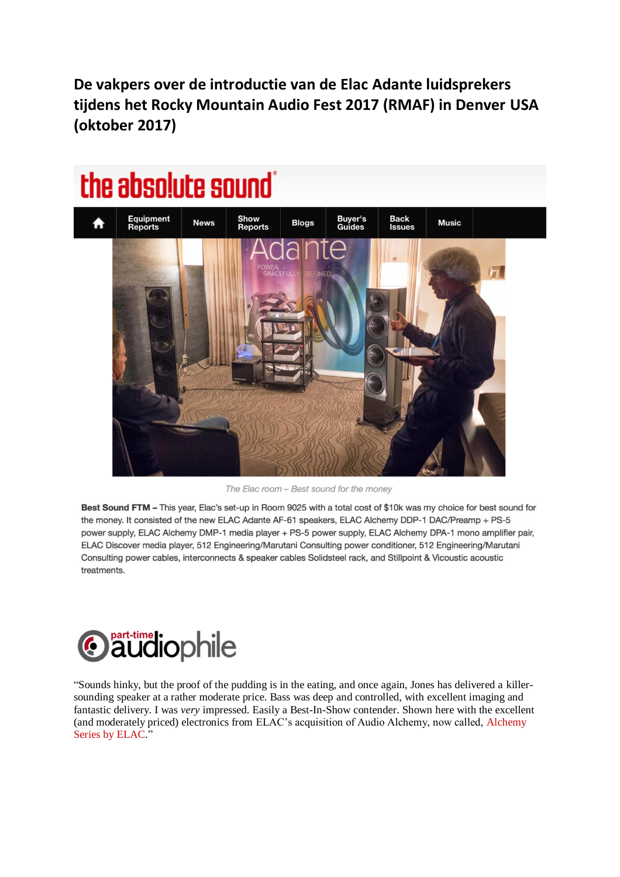**De vakpers over de introductie van de Elac Adante luidsprekers tijdens het Rocky Mountain Audio Fest 2017 (RMAF) in Denver USA (oktober 2017)**

# the absolute sound



The Elac room - Best sound for the money

Best Sound FTM - This year, Elac's set-up in Room 9025 with a total cost of \$10k was my choice for best sound for the money. It consisted of the new ELAC Adante AF-61 speakers, ELAC Alchemy DDP-1 DAC/Preamp + PS-5 power supply, ELAC Alchemy DMP-1 media player + PS-5 power supply, ELAC Alchemy DPA-1 mono amplifier pair, ELAC Discover media player, 512 Engineering/Marutani Consulting power conditioner, 512 Engineering/Marutani Consulting power cables, interconnects & speaker cables Solidsteel rack, and Stillpoint & Vicoustic acoustic treatments.



"Sounds hinky, but the proof of the pudding is in the eating, and once again, Jones has delivered a killersounding speaker at a rather moderate price. Bass was deep and controlled, with excellent imaging and fantastic delivery. I was *very* impressed. Easily a Best-In-Show contender. Shown here with the excellent (and moderately priced) electronics from ELAC's acquisition of Audio Alchemy, now called, [Alchemy](https://www.elac.com/series/alchemy-power/) Series by [ELAC.](https://www.elac.com/series/alchemy-power/)"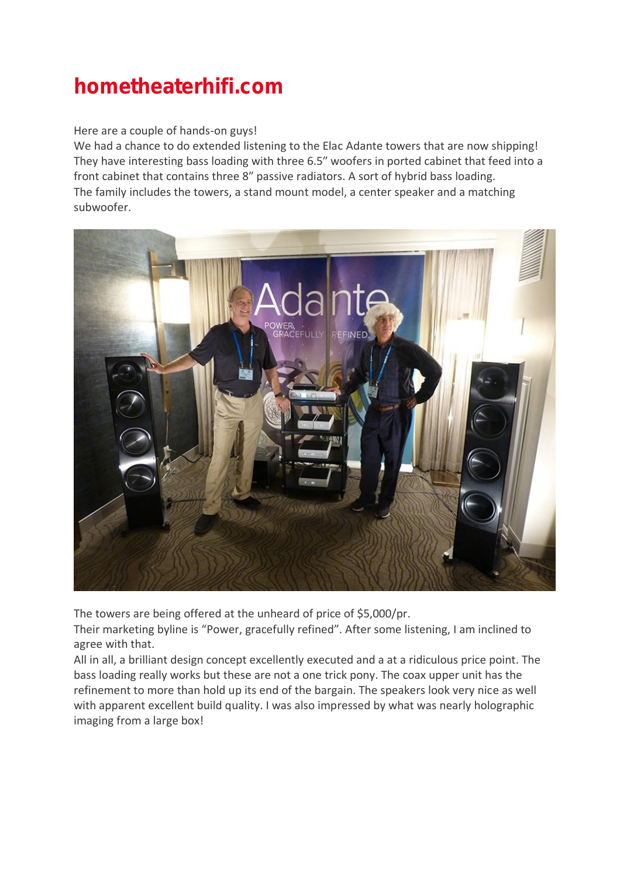# hometheaterhifi.com

#### Here are a couple of hands-on guys!

We had a chance to do extended listening to the Elac Adante towers that are now shipping! They have interesting bass loading with three 6.5″ woofers in ported cabinet that feed into a front cabinet that contains three 8″ passive radiators. A sort of hybrid bass loading. The family includes the towers, a stand mount model, a center speaker and a matching subwoofer.



The towers are being offered at the unheard of price of \$5,000/pr.

Their marketing byline is "Power, gracefully refined". After some listening, I am inclined to agree with that.

All in all, a brilliant design concept excellently executed and a at a ridiculous price point. The bass loading really works but these are not a one trick pony. The coax upper unit has the refinement to more than hold up its end of the bargain. The speakers look very nice as well with apparent excellent build quality. I was also impressed by what was nearly holographic imaging from a large box!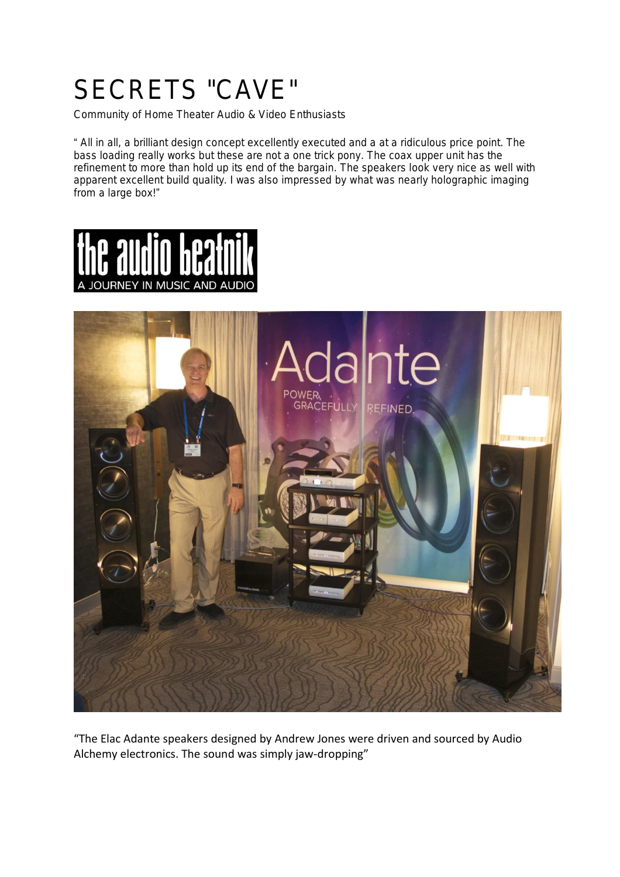# SECRETS "CAVE"

Community of Home Theater Audio & Video Enthusiasts

" All in all, a brilliant design concept excellently executed and a at a ridiculous price point. The bass loading really works but these are not a one trick pony. The coax upper unit has the refinement to more than hold up its end of the bargain. The speakers look very nice as well with apparent excellent build quality. I was also impressed by what was nearly holographic imaging from a large box!"





"The Elac Adante speakers designed by Andrew Jones were driven and sourced by Audio Alchemy electronics. The sound was simply jaw-dropping"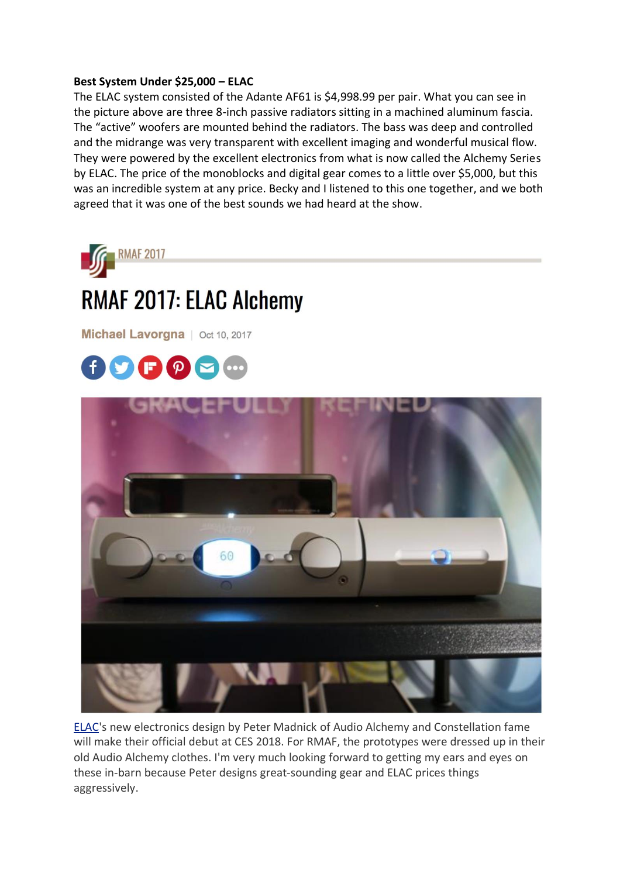#### **Best System Under \$25,000 – ELAC**

The ELAC system consisted of the Adante AF61 is \$4,998.99 per pair. What you can see in the picture above are three 8-inch passive radiators sitting in a machined aluminum fascia. The "active" woofers are mounted behind the radiators. The bass was deep and controlled and the midrange was very transparent with excellent imaging and wonderful musical flow. They were powered by the excellent electronics from what is now called the Alchemy Series by ELAC. The price of the monoblocks and digital gear comes to a little over \$5,000, but this was an incredible system at any price. Becky and I listened to this one together, and we both agreed that it was one of the best sounds we had heard at the show.



Michael Lavorgna | Oct 10, 2017





[ELAC'](https://www.elac.com/)s new electronics design by Peter Madnick of Audio Alchemy and Constellation fame will make their official debut at CES 2018. For RMAF, the prototypes were dressed up in their old Audio Alchemy clothes. I'm very much looking forward to getting my ears and eyes on these in-barn because Peter designs great-sounding gear and ELAC prices things aggressively.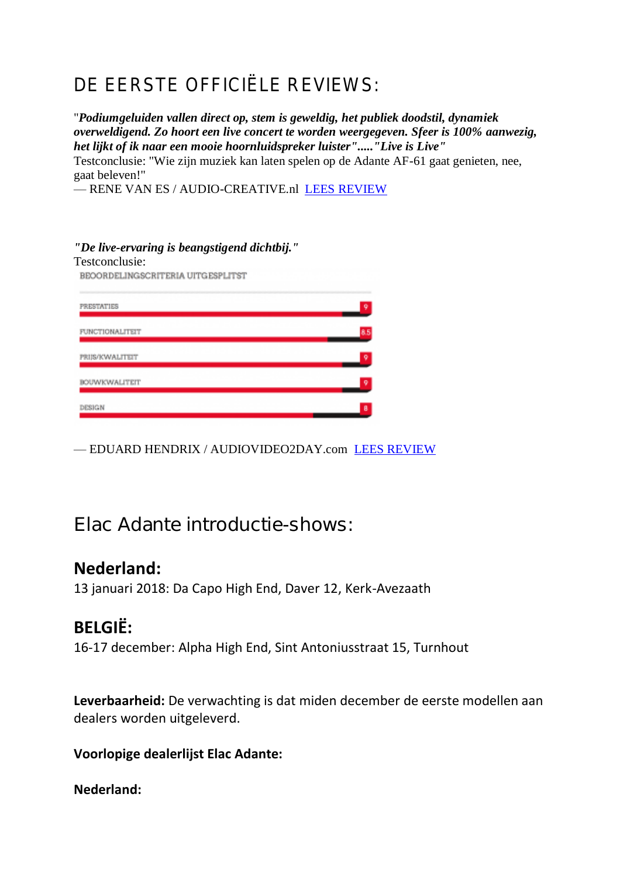## DE EERSTE OFFICIËLE REVIEWS:

"*Podiumgeluiden vallen direct op, stem is geweldig, het publiek doodstil, dynamiek overweldigend. Zo hoort een live concert te worden weergegeven. Sfeer is 100% aanwezig, het lijkt of ik naar een mooie hoornluidspreker luister"....."Live is Live"*

Testconclusie: "Wie zijn muziek kan laten spelen op de Adante AF-61 gaat genieten, nee, gaat beleven!"

— RENE VAN ES / AUDIO-CREATIVE.nl [LEES REVIEW](https://audio-creative.nl/headline/elac-adante-af-61/)

#### *"De live-ervaring is beangstigend dichtbij."*

| Testconclusie:<br>BEOORDELINGSCRITERIA UITGESPLITST |   |
|-----------------------------------------------------|---|
|                                                     |   |
| <b>FUNCTIONALITEIT</b>                              |   |
| PRIJS/KWALITEIT                                     | o |
| <b>BOUWKWALITEIT</b>                                | 9 |
| DESIGN                                              | 8 |

— EDUARD HENDRIX / AUDIOVIDEO2DAY.com [LEES REVIEW](https://www.audiovideo2day.com/elac-adante-af-61-review/?utm_source=Iear+audio+show&utm_campaign=27d74119e0-EMAIL_CAMPAIGN_2017_12_01&utm_medium=email&utm_term=0_1683f381fb-27d74119e0-244799137)

## Elac Adante introductie-shows:

### **Nederland:**

13 januari 2018: Da Capo High End, Daver 12, Kerk-Avezaath

### **BELGIË:**

16-17 december: Alpha High End, Sint Antoniusstraat 15, Turnhout

**Leverbaarheid:** De verwachting is dat miden december de eerste modellen aan dealers worden uitgeleverd.

**Voorlopige dealerlijst Elac Adante:**

#### **Nederland:**